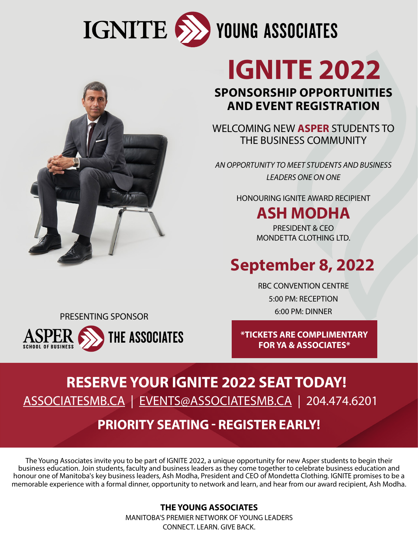



# **IGNITE 2022**

#### **SPONSORSHIP OPPORTUNITIES AND EVENT REGISTRATION**

WELCOMING NEW **ASPER** STUDENTS TO THE BUSINESS COMMUNITY

*AN OPPORTUNITY TO MEET STUDENTS AND BUSINESS LEADERS ONE ON ONE*

HONOURING IGNITE AWARD RECIPIENT

## **ASH MODHA**

PRESIDENT & CEO MONDETTA CLOTHING LTD.

# **September 8, 2022**

RBC CONVENTION CENTRE 5:00 PM: RECEPTION 6:00 PM: DINNER PRESENTING SPONSOR

**THE ASSOCIATES SCHOOL OF BUSINESS** 

**\*TICKETS ARE COMPLIMENTARY FOR YA & ASSOCIATES\***

## **RESERVE YOUR IGNITE 2022 SEAT TODAY!** [ASSOCIATESMB.CA](http://ASSOCIATESMB.CA) | [EVENTS@ASSOCIATESMB.CA](mailto:EVENTS%40ASSOCIATESMB.CA?subject=) | 204.474.6201

### **PRIORITY SEATING - REGISTER EARLY!**

The Young Associates invite you to be part of IGNITE 2022, a unique opportunity for new Asper students to begin their business education. Join students, faculty and business leaders as they come together to celebrate business education and honour one of Manitoba's key business leaders, Ash Modha, President and CEO of Mondetta Clothing. IGNITE promises to be a memorable experience with a formal dinner, opportunity to network and learn, and hear from our award recipient, Ash Modha.

> **THE YOUNG ASSOCIATES** MANITOBA'S PREMIER NETWORK OF YOUNG LEADERS CONNECT. LEARN. GIVE BACK.